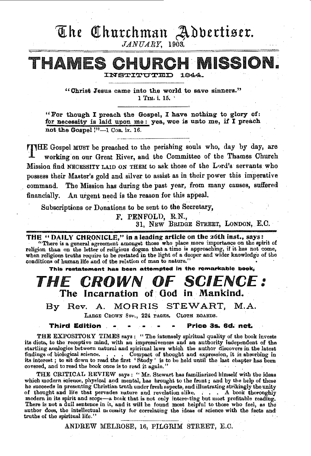# The Churchman Addectiser.

# ES CHURCH MISSION.

"Christ Jesus came into the world to save sinners." 1 TIM. i. 15.

'' For though I preach the Gospel, I have nothing to glory of: for necessity is laid upon me : yea, woe is unto me, if I preach not the Gospel !"-1 Con. ix. 16.

THE Gospel MUST be preached to the perishing souls who, day by day, are working on our Great River, and the Committee of the Thames Ohurch Mission find NECESSITY LAID ON THEM to ask those of the Lord's servants who possess their Master's gold and silver to assist as in their power this imperative command. The Mission has during the past year, from many causes, suffered financially. An urgent need is the reason for this appeal.

Subscriptions or Donations to be sent to the Secretary,

F. PENFOLD, R.N., 31, NEW BRIDGE STREET, LONDON, E.C.

THE "DAILY CHRONICLE," in a leading article on the 26th inst., says:<br>"There is a general agreement amongst those who place more importance on the spirit of<br>religion than on the letter of religious dogma that a time is appr conditions of human life and of the relation of man to nature.''

This restatement has been attempted In the remarkable book,

## THE CROWN OF SCIENCE: The Incarnation of God in Mankind.

By Rev. *A.* MORRIS STEW ART, M.A. LARGE CROWN 8vv., 224 PAGES. CLOTH BOARDS.

Third Edition Price Ss. Gd. net.

THE EXPOSITORY TIMES says: "The intensely spiritual quality of the book invests its dicta, to the receptive mind, with an impressiveness and an authority independent of the startling analogies between natural and spiritual laws which the author discovers in the latest findings of biological science. . . . . Compact of thought and expression, it is absorbing in its interest; to sit down to read the first 'Study' is to be held until the last chapter has been covered, and to read the book

THE CRITICAL REVIEW says : " Mr. Stewart has familiarized himself with the ideas which modern science, physical and mental, has brought to the front; and by the help of these he succeeds in presenting Christian truth under fresh aspects, and illustrating strikingly the unity of thought and life tbat pervades nature and revelation alike. . . . A book thoroughly modern in its spirit and scope--a book that is not only intere•ting but most profitable reading.<br>There is not a dull sentence in it, and it will be found most helpful to those who feel, as the author does, the intellectual necessity for correlating the ideas of science with the facts and truths of the spiritual life."

ANDREW MELROSE, 16, PILGRIM STREET, E.C.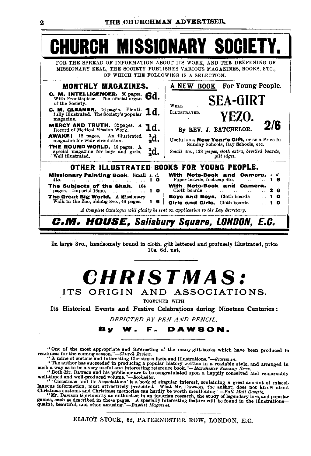#### **THE OBUROHMAN ADVERTISER.**



In large Svo., handsomely hound in cloth, gilt lettered and profusely illustrated, price  $10s. 6d.$  net.

# **CHRISTMAS** • •

**ITS ORIGIN AND ASSOCIATIONS.** 

TOGETHER WITH

**Its Historical Events and Festive Celebrations during Nineteen Centuries:** 

*DEPICTED BY PEN A:VD PENCIL.* 

#### Вv **w. F. DAWSON.**

"One of the most appropriate and interesting of the many gift-books which have been produced in **readiness for the coming season.**"-Church Review.<br>"A mine of curious and interesting Christmas facts and illustrations."-Scot

" A mine of curious and interesting Christmas facts and illustrations."—Scotsman.<br>"The author has succeeded in producing a popular history written in a readable style, and arranged in<br>such a way as to be a very useful and

"Christmas and its Associations' is a book of singular interest, containing a great amount of miscel-<br>Inneous information, most attractively presented. What Mr. Dawson, the author, does not know about<br>Christmas customs and

ELLIOT STOCK, 62, PATERNOSTER ROW, LONDON, E.C.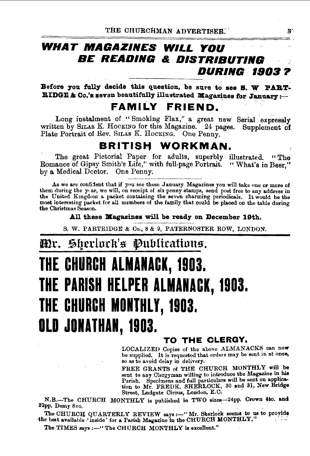### **WHAT MAGAZINES WILL YOU BE READING & DISTRIBUTING** DURING 1903 7

Before you fully decide this question, be sure to see S. W PART-RIDGE & Co.'s seven beautifully illustrated Magazines for January :-

#### **FAMILY** FRIEND.

Long instalment of "Smoking Flax," a great new Serial expressly written by SILAS K. HOCKING for this Magazine. 24 pages. Supplement of Plate Portrait of Rev. SILAS K. HOCKING. One Penny.

### BRITISH WORKMAN.

The great Pictorial Paper for adults, superbly illustrated. "The Romance of Gipsy Smith's Life," with full-page Portrait. "What's in Beer." by a Medical Doctor. One Penny.

As we are confident that if you see these January Magazines you will take one or more of them during the y-ar, we will, on receipt of six penny stamps, send post free to any address in the United Kingdom a packet containing the seven charming periodicals. It would be the most interesting packet for all members of the family that could be placed on the table during the Christmas Season.

All these Magazines will be ready on December 19th.

S. W. PARTRIDGE & Co., 8 & 9, PATERNOSTER ROW, LONDON.

## Wr. Sherlork's Publications.

# THE CHURCH ALMANACK, 1903. THE PARISH HELPER ALMANACK, 1903. THE CHURCH MONTHLY, 1903. OLD JONATHAN, 1903.

#### TO THE CLERGY.

LOCALIZED Copies of the above ALMANACKS can now be supplied. It is requested that orders may be sent in at once, so as to avoid delay in delivery.

FREE GRANTS of THE CHURCH MONTHLY will be sent to any Clergyman willing to introduce the Magazine in his Parish. Specimens and full particulars will be sent on application to Mr. FREDK. SHERLOCK, 30 and 31, New Bridge Street, Ludgate Circus, London, E.C.

N.B.-The CHURCH MONTHLY is published in TWO sizes-24pp. Crown 4to. and 32pp. Demy 8vo.

The CHURCH QUARTERLY REVIEW says :- "Mr. Sherlock seems to us to provide the best available 'inside' for a Parish Magazine in the CHURCH MONTHLY," 결국부 The TIMES savs :- "The CHURCH MONTHLY is excellent."

ß.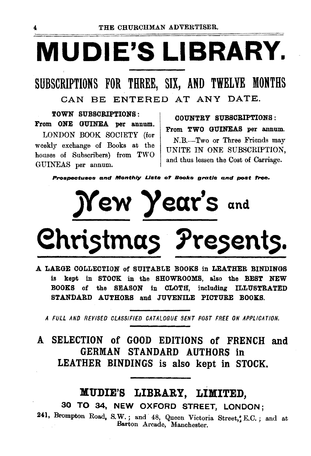# **MUDIE'S LIBRARY.**

SUBSCRIPTIONS FOR THREE, SIX, AND TWELVE MONTHS CAN BE ENTERED AT ANY DATE.

TOWN SUBSCRIPTIONS : From ONE GUINEA per annum. LONDON BOOK SOCIETY (for

weekly exchange of Books at the houses of Subscribers) from TWO GUINEAS per annum.

COUNTRY SUBSCRIPTIONS : From TWO GUINEAS per annum.

N.B.-Two or Three Friends may UNITE IN ONE SUBSCRIPTION, and thus lessen the Cost of Carriage.

Prospectuses and Monthly Lists of Books gratis and post free.

# *Jf* **ew Year's** and **ehristmas Yresents.**

A LARGE COLLECTION of SUITABLE BOOKS in LEATHER BINDINGS is kept in STOCK in the SHOWROOMS, also the BEST NEW BOOKS of the SEASON in CLOTH, including ILLUSTRATED STANDARD AUTHORS and JUVENILE PICTURE BOOKS.

*A FULL AND REVISED CLASSIFIED CATALOGUE BENT POST FREE ON APPLICATION.* 

A SELECTION of GOOD EDITIONS of FRENCH and GERMAN STANDARD AUTHORS in LEATHER BINDINGS is also kept in STOCK.

# KUDIE'S LIBRARY, LIMITED,

30 TO 34, NEW OXFORD STREET, LONDON;

241, Brompton Road, S.W.; and 48, Queen Victoria Street, E.C.; and at .Barton Arcade, Manchester.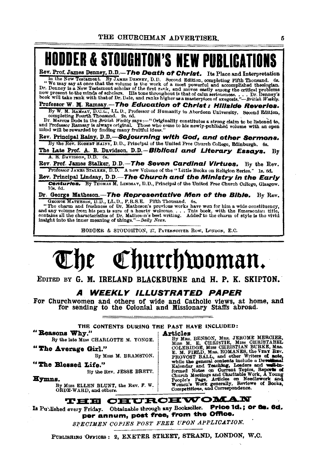# **HODDER & STOUGHTON'S NEW PUBLICATE**

Rev. Prof. James Denney, D.D.—**The Death of Christ.** Its Place and Interpretation **NOV.** 1.00. We have been the New Tests and Ly  $\overline{AB}$ . It is the New Tests and Ly  $\overline{AB}$ . It is the New Tests ment. By JA was Deway, D.D. Second Edition, completing Fifth Thousand. Gs. IF we may say at once that the v

Professor W. M. Ramsay.-The Education of Christ: Hillside Reveries.

**Professor W. II. Kamsay.** The **CallCation of Christ : Finished reverses**<br>By W. M. Kamsay, D.C.L., LL.D., Professor of Humanity in Aberdeen University. Second Edition,<br>completing Fourth Thousand. 2s. 6d.<br>Dr. Marcus Dods i

Rev. Principal Rainy, D.D. Sofourning with God, and other Sermons.<br>By the Rev. Rosser RAINY, D.D., Principal of the United Free Church College, Edinburgh. 6s.

The Late Prof. A. B. Davidson, D.D. - Biblical and Literary Essays. By A. B. DAVIDSON, D.D. 68.

Rev. Prof. James Stalker, D.D.-The Seven Cardinal Virtues. By the Rev. Professor JAMES STALERR, D.D. A new Volume of the "Little Books on Religion Series." 1s. 6d.

Rev. Principal Lindsay, D.D.—The Church and the Ministry in the Early Centuries. By THOMAS M. LINDSAY, D.D., Principal of the United Free Church College. Glasgow. 10s. 6d.

Dr. George Matheson.-The Representative Men of the Bible. By Rev.

GEORGE MATHESON, D.D., LL.D., F.R.S.E. Fifth Thousand. 6s.<br>
"The charm and freshness of Dr. Matheson's previous works have won for him a wide constituency,<br>
"The charm and freshness of Dr. Matheson's previous works have wo

HODDER & STOUGHTON, 27, PATERNOSTER ROW, LONDON, E.C.

# Churchwoman.

EDITED BY G. M. IRELAND BLACKBURNE and H. P. K. SKIPTON.

#### **WEEKLY ILLUSTRATED PAPER** A

For Churchwomen and others of wide and Catholic views, at home, and for sending to the Colonial and Missionary Staffs abroad.

THE CONTENTS DURING THE PAST HAVE INCLUDED:

rticles<br>
By Mas. BENSON, Mas. JEROME MERCIER,<br>
Has. M. E. CHRISTIE, Mass OHRISTABEL<br>
Mas. M. E. CHRISTIE, Mas. CHRISTABEL<br>
COLERIDGE, Mas. ROMANES, the VERY BEV.<br>
E. M. FIELD, Mas. ROMANES, the VERY BEV.<br>
ENOVOST BALL, and **Articles** 

"Reasons Why." By the late MISS CHARLOTTE M. YONGE.

"The Average Girl."

By MISS M. BRAMSTON.

"The Blessed Life."

By the REV. JESSE BRETT.

Hvmns.

By MISS ELLEN BLUNT, the REV. F. W. ORDE-WARD, and others.

### **THE CHURCHWOMAN**

Is Published every Friday. Obtainable through any Bookseller. Price 1d.; or the. 6d. per annum, post free, from the Office.

SPECIMEN COPIES POST FREE UPON APPLICATION.

PUBLISHING OFFICES: 2, EXETER STREET, STRAND, LONDON, W.C.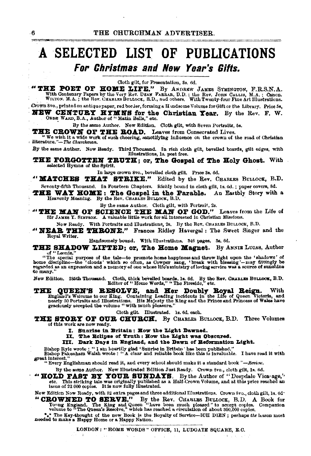THE CHURCHMAN ADVERTISER.

## A SELECTED LIST OF PUBLICATIONS For Christmas and New Year's Gifts.

Cloth gilt, for Presentation, 3s. 6d.

"THE POET OF HOME LIFE." By ANDREW JAMES SYMINGTON, F.R.S.N.A. With Centenary Papers by the Very Rev. DEAN FABRAR, D.D.; the Rev. JOBN CALLIS, M.A.; Canon. WILTON. M.A.; the Rev. CHARLES BULLOCK, B.D., and others. With Twe Crown 8vo., printed on antique paper, red border, forming a Hundsome Volume for Gift or the Library. Price 5s.

**NEW CENTURY HYMNS for the Christian Year.** By the Rev. F. W. ORDE WARD, B.A., Author of "Matin Bells," etc.

By the same Author. New Edition. Cloth gilt, with Seven Portraits, 5s.

THE CROWN OF THE ROAD. Leaves from Consecrated Lives.

"We wish it a wide work of such cheering, sanctliying influence on the crown of the road of Christian literature."-The Churchman.

By the same Author. Now Ready. Third Thousand. In rich cloth gilt, bevelled boards, gilt edges, with<br>Illustrations, Is. post free.

THE FORGOTTEN TRUTH; or, The Gospel of The Holy Ghost. With selected Hymns of the Spirit.

In large crown 8vo., bevelled cloth gilt. Price 3s. 6d.

"MATCHES THAT STRIKE." Edited by the Rev. CHARLES BULLOCK, B.D.

Seventy-fifth Thousand. In Fourteen Chapters. Richly bound in cloth gilt, Is. 6d.; paper covers, 8d.

**THE WAY HOME: The Gospel in the Parable.** An Earthly Story with a Heavenly Meaning. By the Rev. CHARLES BULLOCK, B.D.

By the same Author. Cloth gilt, with Portrait, 2s.

"THE MAN OF SCIENCE THE MAN OF GOD." Leaves from the Life of Sir JAMES Y. SIMPSON. A valuable little work for all interested in Christian Missions.

With Portraits and Illustrations, 2s. By the Rev. CHARLES BULLOCK, B.D. Now Ready.

"NEAR THE THRONE." Frances Ridley Havergal: The Sweet Singer and the Royal Writer.

Handsomely bound. With Illustrations. 346 pages. 3s. 6d.

THE SHADOW LIFTED; or, The Home Magnet. By ANNIE LUCAS, Author of "Leonie."

" Leonie.<br>"The special purpose of the tale-to promote home happiness and throw light upon the 'shadows' of<br>home discipline-the 'clouds' which so often, as Cowper sang, 'break with blessing'-may fittingly be<br>regarded as an to many.

New Edition. 286th Thousand. Cloth, thick bevelled boards. 1s. 6d. By the Rev. CRARLES BULLOOK, B.D.<br>Editor of "Home Words," "The Fireslde," etc.

E QUEEN'S RESOLVE, and Her Doubly Royal Reign. With England's Welcome to our King. Containing Leading incidents in the Life of Queen Victoria, and nearly 50 Portraits and Illustrations. His Majesty the King and the Prince THE

Cloth gilt. Illustrated. 1s. 6d. each.

THE STORY OF OUR CHURCH. By CHARLES BULLOCK, B.D. Three Volumes of this work are now ready.

I. Sunrise in Britain: How the Light Dawned.

II. The Eclipse of Truth: How the Light was Obscured.

III. Dark Days in England, and the Dawn of Reformation Light.

Bishop Ryle wrote : "I am heartily glad 'Sunrise in Britain' has been published."<br>Bishop Pakenham Walsh wrote : "A clear and reliable book like this is invaluable. I have read it with great interest."<br>"Every Englishman should read it, and every school should make it a standard book "--Review.

By the same Author. New Illustrated Edition Just Ready. Crown 8vo., cloth gilt, Is. 6d.

"HOLD FAST BY YOUR SUNDAYS. By the Author of "Deepdale Vica age," etc. This striking tale was originally published as a Half-Crown Volume, and at this price reached an issue of 22.000 copies. It is now fully illustrated.

New Edition Now Ready, with 32 extra pages and three additional Illustrations. Crown 8vo., cloth gilt, 1s. 6d'

"CROWNED TO SERVE." By the Rev. CHARLES BULLOCK, B.D. A Book for Young England. The King and Queen "have been much pleased" to accept copies. volume to "The Queen"s Resolve," which has reached a circulation of about 300,00

The Key-thought of the new Book is the Royalty of Service--ICH DIEN; perhaps the lesson most needed to make a Happy Home or a Happy Nation.

6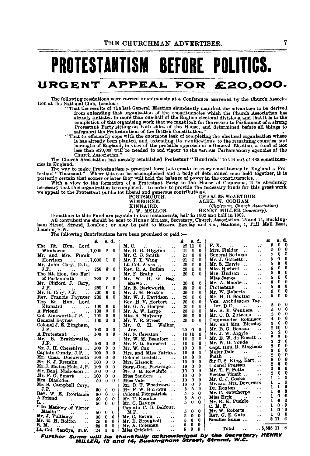### PROTESTANTISM BEFORE POLITICS. £20,000. URGENT APPEAL FOR

The following resolutions were carried unanimously at a Conference convened by the Church Association at the National Club, London :-

"That the results of the last General Election abundantly manifest the advantage to be derived mas un remains on the mest utential electron apurtantly manifest the advantage to be derived in the situation of the constituencies which the Church Association has idready initiated in more than one-half of the English el

"That to efficiently cope with the enormous task of completing the electoral organization where it has already been planted, and extending its ramifications to the remaining counties and<br>boroughs of England, in view of the probable approach of a General Election, a fund of not<br>less than £20,000 will be needed to add Church Association.

The Church Association has already established Protestant "Hundreds" to 244 out of 443 constituencies in England.

The way to make Protestantism a practical force is to create in every constituency in England a Protestant "Thousand." Where this can be accomplished and a body of determined men held together, it is

testant "Thousand." Where this can be accomplished and a bouy of determined men mad augustes, as a perfectly certain that sooner or later they will hold the balance of power in the constituencies.<br>With a view to the forma IIR.

| ORTSMOUTH.   | <b>CHARLES MCARTHUR.</b>       |
|--------------|--------------------------------|
| VIMBORNE.    | ALEX. W. COBHAM                |
| INNAIRD.     | (Chairman, Church Association) |
| . W. MELLOR. | HENRY MILLER (Secretary).      |

Donations to this Fund are payable in two instalments, half in 1902 and half in 1903. All contributions should be sent to HENRY MILLER, Secretary, Church Association, 13 and 14, Bucking-ham Street, Strand, London; or may be paid to Messrs. Barclay and Co., Bankers, 1, Pall Mall East, London,  $S$ ,  $\hat{W}$ 

The following Contributions have been promised or paid :-

| £                                                                              |       | s, d.           |               |                                                                                    | £      | s. d.        |                          |                                                          | £                            | s. a.          |                             |
|--------------------------------------------------------------------------------|-------|-----------------|---------------|------------------------------------------------------------------------------------|--------|--------------|--------------------------|----------------------------------------------------------|------------------------------|----------------|-----------------------------|
| The Rt. Hon. Lord                                                              |       |                 |               | M. C.<br>$\cdots$<br>$\bullet$ $\bullet$                                           |        | 22 11 0      |                          | F. X.<br>$\ddot{\phantom{a}}$                            | 5                            | $\mathbf 0$    |                             |
| Wimborne<br>1,000 0 0<br>$\ddotsc$                                             |       |                 |               | Mr. G. R. Higgins<br>$\ddot{\phantom{1}}$                                          | 21     | 0            | Ü                        | Mrs. Fielder<br>                                         | 5                            | 0              | ſ                           |
| Mr. and Mrs. Frank                                                             |       |                 |               | Mr. C. C. Smith<br>$\ddot{\phantom{0}}$                                            | 21     | $\bf{0}$     | o                        | General Godman<br>$\ddot{\phantom{0}}$                   | 5                            | 0              | ¢                           |
| Morrison<br>$.1,000 \ 0 \ 0$                                                   |       |                 |               | Mr. T. T. Wing<br>$\ddot{\phantom{0}}$                                             | 21     | $\Omega$     | $\mathbf{0}$             | Mr. J. Garnett<br>$\ddot{\phantom{1}}$                   | 5                            | 0              | €                           |
| Mr. John Cory, D.L.,                                                           |       |                 |               | Lt. Col. Alves<br>$\ddot{\phantom{a}}$                                             | 20     | 0            | 0                        | Mr. S. Harris<br>$\ddot{\phantom{a}}$                    | 5                            | $\bf{0}$       | C                           |
| J.P.                                                                           |       | 250000          |               | Rev. R. A. Bullen<br>$\ddot{\phantom{a}}$                                          | 20     | $\Omega$     | n                        | Miss Herbert<br>$\sim$<br>$\cdot$                        | 5                            | $\theta$       | $\epsilon$                  |
| The Rt. Hon. the Earl                                                          |       |                 |               | Mr. F. Brahy<br>$\ddot{\phantom{1}}$                                               | 20     | $\Omega$     | 0                        | Mrs. Hudson<br>$\cdot$ .                                 |                              | $\bf{0}$       | €                           |
| of Portsmouth<br>$\ddot{\phantom{a}}$                                          |       | $200 \t 0 \t 0$ |               | Mr. W. H. G. Bag.                                                                  |        |              |                          | Miss James<br>$\ddot{\phantom{a}}$                       | Б                            | $\mathbf{D}$   | ſ                           |
| Mr. Clifford J. Cory,                                                          |       |                 |               | shawo<br>$\ddot{\phantom{a}}$<br>                                                  | 20     | 0            | 0                        | Mr. A. Maude<br>. .                                      | 5                            | $\bf{0}$       | $\epsilon$                  |
| J.P.<br>200<br>$\mathbf{r}$ and $\mathbf{r}$ and $\mathbf{r}$ and $\mathbf{r}$ |       | $\theta$        | $\Omega$      | Mr. E. Barkworth<br>$\ddot{\phantom{a}}$                                           | 20     | 0            | A                        | Protestant<br>$\sim$<br>é é                              | 5                            | $\mathbf{0}$   | $\epsilon$                  |
| Mr. R. Cory, J.P.<br>200<br>$\ddot{\phantom{0}}$                               |       | $\theta$        | $\Omega$      | Mr. J. H. Buxton<br>$\ddot{\phantom{a}}$                                           | 20     | $\mathbf{0}$ | 0                        | Mr. W. Roberts<br>$\ddot{\phantom{0}}$                   |                              | $\bf{0}$       |                             |
| Rev. Francis Paynter<br>200                                                    |       | $\bf{0}$        | $\bf{0}$      | Mr. W. J. Davidson<br>$\cdot$ .                                                    | 20     | $\Omega$     | 0                        | Mr. H. O. Soutter<br>μ.                                  |                              | $\Omega$       | C                           |
| The Rt. Hon. Lord                                                              |       |                 |               | Rev. H. V. Herbert<br>                                                             | 20     | 0            | 0                        | Ven. Archdeacon Tay-                                     |                              |                |                             |
| Kinnaird<br>$\ddot{\phantom{a}}$                                               | 100 - | 0               | $\Omega$      | Mr. G. N. Hooper<br>$\ddot{\phantom{0}}$                                           | 20     | $\Omega$     | 0                        | lor, D.D.<br>$\ddot{\phantom{0}}$                        | 5                            | $\Omega$       |                             |
| A Friend<br>100<br>$\sim$                                                      |       | $\Omega$        | $\Omega$      | Mr. A. W. Large<br>$\cdot$ $\cdot$                                                 | 20     | $\Omega$     | 0                        | Mr. A. E. Wenham                                         | 5                            | $\Omega$       |                             |
| Col. Ainsworth, J.P<br>100                                                     |       | $\theta$        | $\bf{0}$      | Miss A. Mulvany<br>$\ddot{\phantom{0}}$                                            | 20     | $\mathbf{0}$ | 0                        | Mr. C. B. Zutvens                                        | 5                            | $\Omega$       |                             |
| General Bavnes<br>100                                                          |       | $\Omega$        | $\bf{0}$      | Mr. T. R. Street<br>$\ddot{\phantom{a}}$                                           | 20     | $\theta$     | 0                        | Commander Robinson                                       | 4                            | $\Omega$       | -1                          |
| Colonel J. E. Bingham,                                                         |       |                 |               | Mr. C. H. Walker,                                                                  |        |              |                          | Mr. and Mrs. Blessley                                    | 8                            | $\Omega$       | - 6                         |
| J.P.<br>$\ddotsc$<br>$\ddot{\phantom{0}}$                                      | 1000  |                 | $\bf{0}$      | Jnr.<br>$\cdots$                                                                   | 20     | 0            | 0                        | Mr. B. G. Benson                                         | 2                            | 10             | €<br>ſ                      |
| A Protestant<br>100<br>$\ddot{\phantom{a}}$                                    |       | $\theta$        | 0             | Mr. S. Cawston<br>$\ddot{\phantom{a}}$                                             |        | 10 10        | $\mathbf o$              | Mr. J. W. Argyle<br>$\ddot{\phantom{0}}$                 | 2                            | 2<br>2         | $\epsilon$                  |
| Mr. B. Braithwalte,                                                            |       |                 |               | Mr. W. M. Beaufort                                                                 | 10     | - 0          | $\bf{0}$                 | Mr. E. W. de Rusett                                      | $\overline{\mathbf{2}}$<br>2 | $\overline{2}$ |                             |
| J.P.<br>100<br>$\ddot{\phantom{a}}$                                            |       | 0               | 0             | Mr. F. D. Bumsted                                                                  | 10     | - 0          | O                        | Mr. W. G. Yonde                                          | 2                            | $\mathbf{u}$   | $\mathcal{L}_{\mathcal{L}}$ |
| Mr. J. H. Chesshire<br>100                                                     |       | $\bf{0}$        | 0             | Mr. W. Cox<br>$\ddot{\phantom{0}}$<br>$\ddot{\phantom{0}}$                         | 10     | $\theta$     | $\bf{0}$                 | Capt. Hon. R. Bingham                                    | 2                            | $\bf{0}$       | $\epsilon$                  |
| Captain Cundy, J.P<br>100                                                      |       | 0               | 0             | Mrs. and Miss Fairleas                                                             | 10     | - 0          | 0                        | Major Dale<br>$\ddot{\phantom{a}}$                       | 2                            | $\Omega$       | $\epsilon$                  |
| Mr. Chas. Duckworth<br>100                                                     |       | $\bf{0}$        | 0             | Colonel Iredell                                                                    | 10     | - 0          | $\bf{0}$                 | Faith<br>$\ddot{\phantom{a}}$<br>$\cdots$                | $\overline{2}$               | $\Omega$       | f                           |
| Mr. R. J. Fremlin<br>100                                                       |       | 0               | 0             | Mrs. Kissock                                                                       | 10     | $\theta$     | 0                        | Sir C. S. King, Bart                                     | 2                            | $\theta$       | C                           |
| Mr. J. Maden Holt, J.P.<br>100                                                 |       | $\theta$        | 0             | Surg.-Gen. Partridge                                                               | 10     | $\bf{0}$     | $\bf{0}$                 | Colonel Preston                                          |                              | $\bf{0}$       | $\mathbf{r}$                |
| Mr. Benj. Nicholson<br>100                                                     |       | $\theta$        | $\Omega$      | Mr. J. B. Rowcliffe                                                                | 10     | 0            | $\bf{0}$                 | Mr. T. P. Potts<br>$\ddot{\phantom{0}}$                  |                              | $\mathbf{0}$   |                             |
| Mr. F. G. Smart<br>100<br>$\ddot{\phantom{a}}$                                 |       | 0               | $\bf{0}$      | Miss Sanders<br>$\ddotsc$                                                          | 10     | $\bf{0}$     | 0                        | Veritas Vincit<br>                                       | ı                            | ı              | $\mathfrak{c}$              |
| Mrs. Blackden                                                                  | 50    | $\Omega$        | 0             | Miss Vale                                                                          | 10     | $\bf{0}$     | $\Omega$                 | Mr. C. J. Cooke<br>Mr. and Mrs. Devereux                 | ı                            | ı              | C                           |
| Mr. S. Campbell Cory,                                                          |       |                 |               | Mr. D. T. Woodward                                                                 | 10     | $\bf{0}$     | 0                        | Dr. Renton<br>$\ddot{\phantom{1}}$                       |                              | ı              | ſ                           |
| J.P.                                                                           | 50 0  |                 | $\bf{0}$      | Mr. F. W. Burrows                                                                  | õ      | 5            | 0                        | $\mathbf{r}$<br>Mr. C. Bowthorpe<br>$\ddot{\phantom{a}}$ | ı                            | $\bullet$      | 0                           |
| Rev. W. E. Rowlands                                                            | 50    | $\bf{0}$        | $\mathbf{0}$  | Colonel Fitzpatrick                                                                | 5      | 5            | $\bf{0}$                 | Miss Erck<br>$\ddot{\phantom{1}}$                        | ı                            | 0              | €                           |
| A Friend<br><b>Contract Contract</b><br>50                                     |       | 0               | 0             | Mr. T. Kemble<br>k x                                                               | Ď.     | 5            | $\bf{0}$<br>$\mathbf{0}$ | Mr. R. K. Pucklo<br>$\ddot{\phantom{0}}$                 | ı                            | 0              | ¢                           |
| L.,<br>50<br>$\ddot{\phantom{a}}$<br>$\ddot{\phantom{0}}$                      |       | $\mathbf{0}$    | $\Omega$      | Mr. C. Baynes<br>$\ddot{\phantom{0}}$                                              |        | 0            |                          | C. M. P<br>$\sim$ 10 $\pm$ 10<br>. .                     |                              | 0.0            |                             |
| " In Memory of Victor                                                          |       |                 |               | Captain C. B. Balfour,                                                             |        | $\mathbf{0}$ | $\Omega$                 | Mr. W. Roberts<br>$\ddot{\phantom{a}}$                   |                              | 0.             | $\cdot$ 0                   |
| Maslin "<br>$\ddot{\phantom{1}}$                                               | 50 0  |                 | $\mathbf{0}$  | <b>M.P.</b><br>. .<br>$\mathbf{r}$                                                 | 5<br>5 | $\bf{0}$     | Ð                        | Hev. G. E. Gate<br>$\ddot{\phantom{a}}$                  | ı                            | 0              | C                           |
| Mr. J. Vulliamy<br>30<br>$\sim$                                                |       | $\bf{0}$        | 0             | Mr C. Bevan<br>$\ddot{\phantom{a}}$                                                | 5      | 0            | $\bf{0}$                 | Smaller Sums                                             | 6                            | -11            | 6                           |
| Mr. H. H. Bolton<br>25<br>$\ddot{\phantom{a}}$<br>R. M.                        |       | - 0             | $\mathbf{0}$  | Mr. E. Broughall<br>$\ddot{\phantom{a}}$<br>Mr. A. Coleman<br>$\ddot{\phantom{0}}$ | 5      | $\bf{0}$     | $\mathbf{0}$             |                                                          |                              |                |                             |
| 25<br>Lt.-Col. Sandys, M.P.                                                    |       | 0<br>$\bf{0}$   | 0<br>$\bf{0}$ | Miss Crickitt                                                                      |        |              | 0                        | Total                                                    | 5,585 11 6                   |                |                             |
| 24                                                                             |       |                 |               |                                                                                    |        |              |                          |                                                          |                              |                |                             |
|                                                                                |       |                 |               | Further Sume will be thankfully acknowledged by the Secretary, HENRY               |        |              |                          |                                                          |                              |                |                             |

Further Sume will be thankfully acknowledged by the Secreta<br>MILLER, 13 and 14, Buckingham Street, Strand, W.C.

7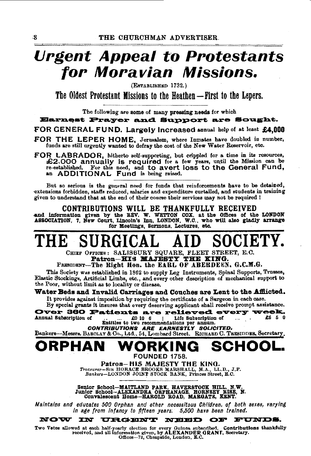# **Urgent Appeal to Protestants** for Moravian Missions.

(ESTABLISHED 1732.)

The Oldest Protestant Missions to the Heathen - First to the Lepers.

The following are some of many pressing needs for which

#### **Earnest Prayer and Support are Sought.**

FOR GENERAL FUND. Largely Increased annual help of at least £4,000

- FOR THE LEPER HOME, Jerusalem, where Inmates have doubled in number, funds are still urgently wanted to defray the cost of the New Water Reservoir, etc.
- FOR LABRADOR, hitherto self-supporting, but crippled for a time in its resources, £2.000 annually is required for a few years, until the Mission can be re-established. For this need, and to avert loss to the General Fund, an ADDITIONAL Fund is being raised.

But so serious is the general need for funds that reinforcements have to be detained, extensions forbidden, staffs reduced, salaries and expenditure curtailed, and students in training given to understand that at the end of their course their services may not be required !

CONTRIBUTIONS WILL BE THANKFULLY RECEIVED and information given by the REV. W. WETTON COX, at the Offices of the LONDON ASSOCIATION, 7, New Court, Lincoln's Inn, LONDON, W.C., who will also gladly arrange for Meetings, Sermons, Lectures, etc.

# H K

CHIEF OFFICES: SALISBURY SQUARE, FLEET STREET, E.C. Patron-HIS MAJESTY THE KING.

PRESIDENT-The Right Hon, the EARL OF ABERDEEN, G.C.M.G.

This Society was established in 1862 to supply Leg Instruments, Spinal Supports, Trusses, Elastic Stockings, Artificial Limbs, etc., and every other description of mechanical support to the Poor, without limit as to locality or disease.

Water Beds and Invalid Carriages and Couches are Lent to the Afflicted.

It provides against imposition by requiring the certificate of a Surgeon in each case. By special grants it insures that every deserving applicant shall receive prompt assistance.

Over 360 Patients are relieved every week. of<br>
Entitles to two recommendations per annum.<br>
CONTRIBUTIONS ARE EARNESTLY SOLICITED. Annual Subscription of £5 5 0  $\ddotsc$ 

Bankers-Messrs. BARCLAY & Co., Ltd., 54, Lombard Street. RICHARD C. TRESIDDER, Secretary,

#### РНАІ ORKII FOUNDED 1758.

Patron-HIS MAJESTY THE KING.<br>Treasurer-SIR HORACE BROOKS MARSHALL, M.A., LL.D., J.P.<br>Bankers-LONDON JOINT STOCK BANK, Princes Street, B.C.

Senior School-MAITLAND PARK, HAVERSTOCK HILL, N.W.<br>Junior School-ALEXANDRA ORPHANAGE, HORNSEY RISE, N.<br>Convalescent Home-HAROLD ROAD, MARGATE, KENT.

Maintains and educates 500 Orphan and other necessitous Children, of both sexes, varying in age from infancy to fifteen years. 5,500 have been trained.

#### NOW IN URGENT NEED OF FUNDS.

Two Vetes allowed at each haif-yearly election for every Guinea subscribed. Contributions thankfully<br>received, and all information given, by ALEXANDER GRANF, Secretary.<br>Offices--73, Cheapside, London, E.C.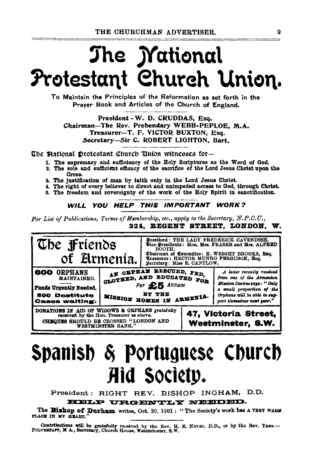# The *Mational* Protestant Church Union.

To Maintain the Principles of the Reformation as set forth in the Prayer Book and Articles of the Church of England.

President-W. D. CRUDDAS, Esq. Chairman-The Rev. Prebendary WEBB-PEPLOE. M.A. Treasurer-T. F. VICTOR BUXTON. Esq. Secretary-Sir C. ROBERT LIGHTON, Bart.

The Bational Drotestant Church Union witnesses for-

- 1. The supremacy and sufficiency of the Holy Scriptures as the Word of God.
- 2. The sole and sufficient efficacy of the sacrifice of the Lord Jesus Christ upon the Сгозз.
- 3. The justification of man by faith only in the Lord Jesus Christ.
- 4. The right of every believer to direct and unimpeded access to God, through Christ.
- 5. The freedom and sovereignty of the work of the Holy Spirit in sanctification.

#### WILL YOU HELP THIS IMPORTANT WORK?

For List of Publications, Terms of Membership, etc., apply to the Secretary, N.P.C.U., 324. REGENT STREET. LONDON. W.



# Spanish & Portuguese Church Aid Society.

President: RIGHT REV, BISHOP INGHAM, D.D.

HELP URGENTLY NEEDED.

The Bishop of Durham writes, Oct. 30, 1901: "The Society's work has a VERY WARM PLACE IN MY HEART."

Contributions will be gratefully received by the Rev. H. E. NovES, D.D., or by the Rev. THOS. --<br>PULVESTAFT, M A., Secretary, Church House, Westminster, S.W.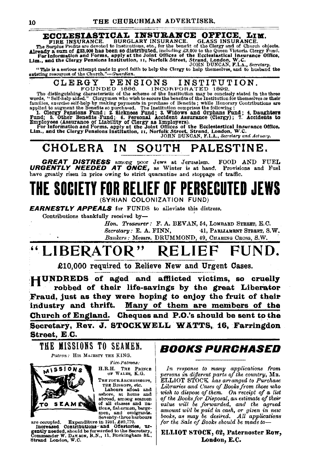

EUCLESSIANT IVAL INDUCES UP TREAT UP. THE .<br>FIRE INSURANCE. BURGLARY UP THE INSURANCE.<br>The Surplus Profile are devoted to Institutions, etc., for the benefit of the Clergy and of Church objects.<br>Already a sum of \$33,000 h

#### **CLERGY** PENSIONS INSTITUTION.

To UNDED 1886. INCORPORATED 1892.<br>The distinguishing characteristic of the scheme of the Institution may be concisely stated in the three<br>price, "Self-help sided," (Jergymen who wish to secure the benefits of the Instituti words

words, "Self-help sided." Clargymen who wish to secure the benefits of the institution for the<br>messacre self-help by making payments in purchase of Benefits; while Honorary Contributions are<br>applied to augment the Benefits

CHOLERA IN SOUTH PALESTINE.

GREAT DISTRESS among poor Jews at Jerusalem. FOOD AND FUEL URGENTLY NEEDED AT ONCE, as Winter is at hand. Provisions and Fuel have greatly risen in price owing to strict quarantine and stoppage of traffic.

### THE SOCIETY FOR RELIEF OF PERSECUTED JEWS (SYRIAN COLONIZATION FUND)

**EARNESTLY APPEALS** for FUNDS to alleviate this distress.

Contributions thankfully received by-

Hon. Treasurer: F. A. BEVAN, 54, LOMBARD STREET, E.C. Secretary: E. A. FINN, 41, PARLIAMENT STREET, S.W. Bankers: Messrs. DRUMMOND, 49, CHARING CROSS, S.W.

#### "LIBERATOR" RELIEF FUND.

£10.000 required to Relieve New and Urgent Cases.

HUNDREDS of aged and afflicted victims, so cruelly robbed of their life-savings by the great Liberator Fraud, just as they were hoping to enjoy the fruit of their industry and thrift. Many of them are members of the Church of England. Cheques and P.O.'s should be sent to the Secretary, Rey. J. STOCKWELL WATTS, 16, Farringdon Street, E.C.





**Fice-Fairons:** H.R.H. THE PRINCE OF WALES, K.G.

THE FOUR ARCHBISHOPS, THE BISBOPS, etc.

Labours afloat and<br>ashore, at home and<br>abroad, among seamen<br>of all classes and nations, fishermen, barge-<br>men, and emigrants.<br>Seventy-three harbours

seventy-three hard is present that the in 1901, £40,770.<br>Increased Contributions and Offertories, urgently needed, should be forwarded to the Secretary,<br>Commander W. Davs sos, R.N., 11, Buckingham St.,<br>Strand London, W.C.

### *BOOKS PURCHASED*

In response to many applications from persons in different parts of the country, MB.<br>ELLIOT STOCK has arranged to Purchase Libraries and Cases of Books from those who wish to dispose of them. On receipt of a list<br>of the Books for Disposal, an estimate of their by the Dooks for Disposition, the statement of the agreed<br>amount will be forwarded, and the agreed<br>amount will be paid in cash, or given in new<br>books, as may be desired. All applications<br>for the Sale of Books should be mad

#### ELLIOT STOCK, 62, Paternoster Row, London, E.C.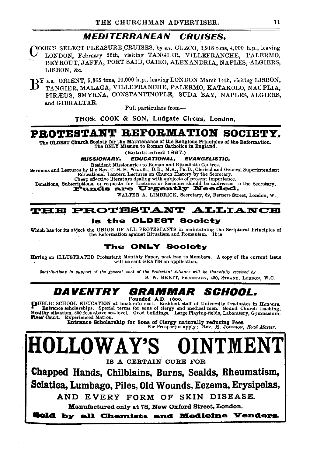#### **MEDITERRANEAN CRUISES.**

- NOOK'S SELECT PLEASURE CRUISES, by s.s. CUZCO, 3,918 tons, 4,000 h.p., leaving LONDON, February 26th, visiting TANGIER, VILLEFRANCHE, PALERMO, BEYROUT, JAFFA, PORT SAID, CAIRO, ALEXANDRIA, NAPLES, ALGIERS, LISBON, &c.
- BY s.s. ORIENT, 5,365 tons, 10,000 h.p., leaving LONDON March 14th, visiting LISBON, TANGIER, MALAGA, VILLEFRANCHE, PALERMO, KATAKOLO, NAUPLIA, PIRÆUS, SMYRNA, CONSTANTINOPLE, SUDA BAY, NAPLES, ALGIERS, and GIBRALTAR.

Full particulars from-

THOS, COOK & SON, Ludgate Circus, London,

### PROTESTANT REFORMATION SOCIETY

The OLDEST Church Society for the Maintenance of the Religious Principles of the Reformation.<br>The ONLY Mission to Roman Catholics in England.

(Established 1827.)

#### **EDUCATIONAL. EVANGELISTIC. MISSIONARY.**

Resident Missionaries to Roman and Ritualistic Centres.

Sermons and Lectures by the Rev. C. H. H. WRIGHT, D. D., M.A., Ph. D., Clerical and General Superintendent<br>Educational Lantern Lectures on Church History by the Secretary. Cheap effective literature dealing with subjects of present importance.

Donations, Subscriptions, or requests for Lectures or Sermons should be addressed to the Secretary.

WALTER A. LIMBRICK, Secretary, 62, Berners Street, London, W.

#### **THE PROTESTANT ALLIANCE** the OLDEST Society le

Which has for its object the UNION OF ALL PROTESTANTS in maintaining the Scriptural Principles of the Reformation against Ritualism and Romanism. It is

#### The ONLY Society

Having an ILLUSTRATED Protestant Monthly Paper, poet free to Members. A copy of the current issue will be sent GRATIS on application.

Contributions in support of the general work of the Protestant Alliance will be thankfully received by S. W. BRETT, SECRETARY, 430, STRAND, LONDON, W.C.

#### DAVENTRY **SCHOOL.** *GRAMMAR*

Founded A.D. 1600.

DUBLIC SCHOOL EDUCATION at moderate cost. Resident staff of University Graduates in Honours. Entrance scholarships. Special terms for some of clergy and medical men. Sound Church teaching,<br>Healthy situation, 800 feet above sea-level. Good buildings. Large Playing-fields, Laboratory, Gymnasium. **Fives' Court.** Experienced Matron.

Entrance Scholarship for Sons of Clergy naturally reducing Fees. For Prospectus apply: REV. H. JOHNSON, Head Master.